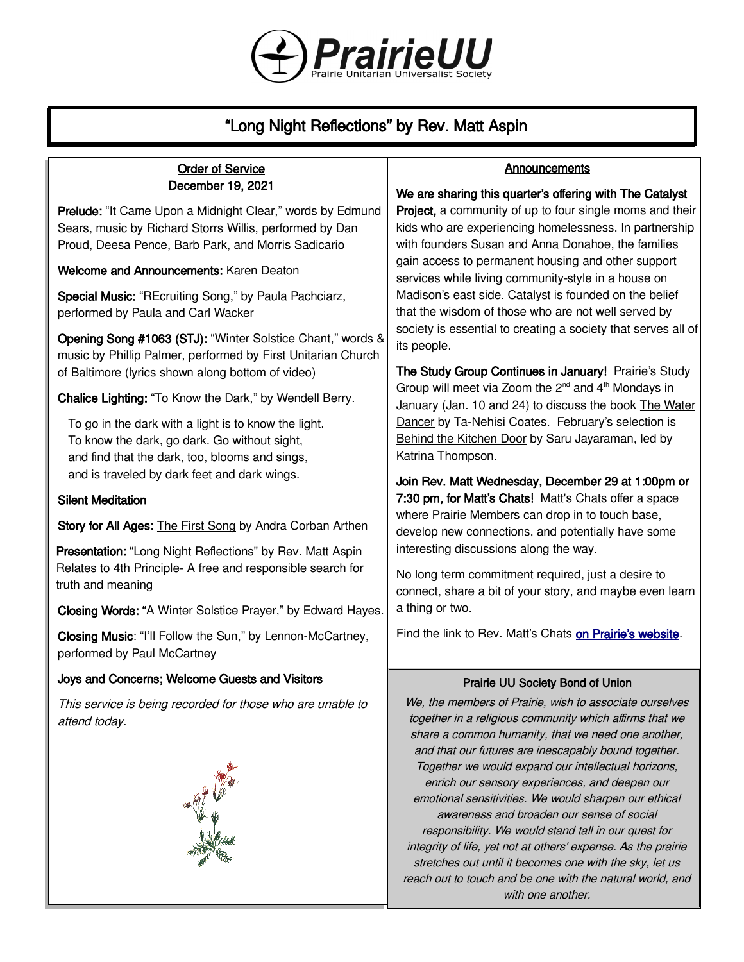

## "Long Night Reflections" by Rev. Matt Aspin

# Order of Service

December 19, 2021

Prelude: "It Came Upon a Midnight Clear," words by Edmund Sears, music by Richard Storrs Willis, performed by Dan Proud, Deesa Pence, Barb Park, and Morris Sadicario

Welcome and Announcements: Karen Deaton

Special Music: "REcruiting Song," by Paula Pachciarz, performed by Paula and Carl Wacker

Opening Song #1063 (STJ): "Winter Solstice Chant," words & music by Phillip Palmer, performed by First Unitarian Church of Baltimore (lyrics shown along bottom of video)

Chalice Lighting: "To Know the Dark," by Wendell Berry.

To go in the dark with a light is to know the light. To know the dark, go dark. Go without sight, and find that the dark, too, blooms and sings, and is traveled by dark feet and dark wings.

### Silent Meditation

Story for All Ages: The First Song by Andra Corban Arthen

Presentation: "Long Night Reflections" by Rev. Matt Aspin Relates to 4th Principle- A free and responsible search for truth and meaning

Closing Words: "A Winter Solstice Prayer," by Edward Hayes.

Closing Music: "I'll Follow the Sun," by Lennon-McCartney, performed by Paul McCartney

#### Joys and Concerns; Welcome Guests and Visitors

This service is being recorded for those who are unable to attend today.



#### **Announcements**

We are sharing this quarter's offering with The Catalyst

**Project, a community of up to four single moms and their** kids who are experiencing homelessness. In partnership with founders Susan and Anna Donahoe, the families gain access to permanent housing and other support services while living community-style in a house on Madison's east side. Catalyst is founded on the belief that the wisdom of those who are not well served by society is essential to creating a society that serves all of its people.

The Study Group Continues in January! Prairie's Study Group will meet via Zoom the  $2^{nd}$  and  $4^{th}$  Mondays in January (Jan. 10 and 24) to discuss the book The Water Dancer by Ta-Nehisi Coates. February's selection is Behind the Kitchen Door by Saru Jayaraman, led by Katrina Thompson.

Join Rev. Matt Wednesday, December 29 at 1:00pm or 7:30 pm, for Matt's Chats! Matt's Chats offer a space where Prairie Members can drop in to touch base, develop new connections, and potentially have some interesting discussions along the way.

No long term commitment required, just a desire to connect, share a bit of your story, and maybe even learn a thing or two.

Find the link to Rev. Matt's Chats [on Prairie's website](https://uuprairie.org/).

#### Prairie UU Society Bond of Union

We, the members of Prairie, wish to associate ourselves together in a religious community which affirms that we share a common humanity, that we need one another, and that our futures are inescapably bound together. Together we would expand our intellectual horizons, enrich our sensory experiences, and deepen our emotional sensitivities. We would sharpen our ethical awareness and broaden our sense of social responsibility. We would stand tall in our quest for integrity of life, yet not at others' expense. As the prairie stretches out until it becomes one with the sky, let us reach out to touch and be one with the natural world, and with one another.